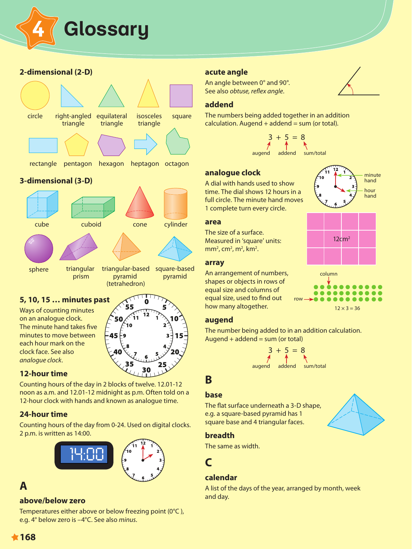

## **2-dimensional (2-D)**



### **3-dimensional (3-D)**



## **5, 10, 15 … minutes past**

Ways of counting minutes on an analogue clock. The minute hand takes five minutes to move between each hour mark on the clock face. See also *analogue clock*.



#### **12-hour time**

Counting hours of the day in 2 blocks of twelve. 12.01-12 noon as a.m. and 12.01-12 midnight as p.m. Often told on a 12-hour clock with hands and known as analogue time.

#### **24-hour time**

Counting hours of the day from 0-24. Used on digital clocks. 2 p.m. is written as 14:00.



## **A**

#### **above/below zero**

Temperatures either above or below freezing point (0°C ), e.g. 4° below zero is –4°C. See also *minus*.

### **acute angle**

An angle between 0° and 90°. See also *obtuse, reflex angle*.

#### **addend**

The numbers being added together in an addition  $calculation. Augend + addend = sum (or total).$ 



 $\sqrt{\frac{11}{10}}$ 

## analogue clock

A dial with hands used to show time. The dial shows 12 hours in a full circle. The minute hand moves 1 complete turn every circle.



The size of a surface. Measured in 'square' units:

#### **array**

An arrangement of numbers, shapes or objects in rows of equal size and columns of equal size, used to find out how many altogether.

#### **augend**

The number being added to in an addition calculation. Augend  $+$  addend  $=$  sum (or total)

cuboid cone cylinder and cone cylinder and cylinder and cylinder and cylinder and cylinder and cylinder and cy<br>The cylinder and cylinder and cylinder and cylinder and cylinder and cylinder and cylinder and cylinder and cy  $3 + 5 = 8$ augend addend sum/total

## **B**

#### **base**

The flat surface underneath a 3-D shape, e.g. a square-based pyramid has 1 square base and 4 triangular faces.



#### **breadth**

 $\mathsf{The}$  same as width.

# **C** prism

## **calendar**

A list of the days of the year, arranged by month, week and day.



 $\sum$  minute



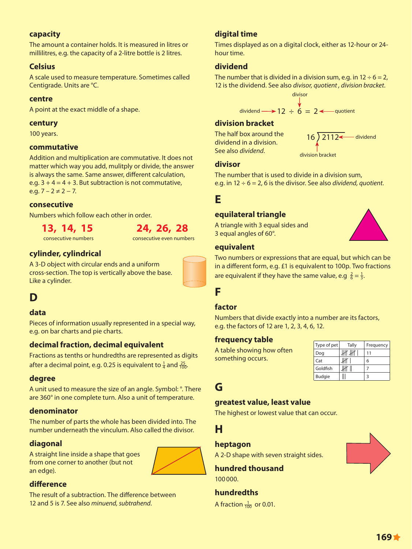## **capacity**

The amount a container holds. It is measured in litres or millilitres, e.g. the capacity of a 2-litre bottle is 2 litres.

### **Celsius**

A scale used to measure temperature. Sometimes called Centigrade. Units are °C.

#### **centre**

A point at the exact middle of a shape.

#### **century**

100 years.

#### **commutative**

Addition and multiplication are commutative. It does not matter which way you add, mulitply or divide, the answer matter much may you allow manaphy or antice, are and it is always the same. Same answer, different calculation,  $e.g. 3 + 4 = 4 + 3$ . But subtraction is not commutative, e.g.  $7 - 2 \neq 2 - 7$ .

### **consecutive**

Numbers which follow each other in order.<br>The pentagon of the pentagon of the pentagon of the pentagon of the pentagon of the pentagon of the pentagon o



consecutive numbers consecutive even numbers

## **cylinder, cylindrical**

A 3-D object with circular ends and a uniform cross-section. The top is vertically above the base. Like a cylinder.



## **data**

Pieces of information usually represented in a special way, e.g. on bar charts and pie charts.

## decimal fraction, decimal equivalent

Fractions as tenths or hundredths are represented as digits after a decimal point, e.g. 0.25 is equivalent to  $\frac{1}{4}$  and  $\frac{25}{100}$ .

#### **degree**

A unit used to measure the size of an angle. Symbol: °. There are 360° in one complete turn. Also a unit of temperature.

## **denominator**

The number of parts the whole has been divided into. The number underneath the vinculum. Also called the divisor.

## **diagonal**

A straight line inside a shape that goes from one corner to another (but not an edge).



## **difference**

The result of a subtraction. The difference between 12 and 5 is 7. See also *minuend, subtrahend*.

## **digital time**

Times displayed as on a digital clock, either as 12-hour or 24 hour time.

## **dividend**

The number that is divided in a division sum, e.g. in  $12 \div 6 = 2$ , 12 is the dividend. See also *divisor, quotient , division bracket*.

divisor  
dividend 
$$
\longrightarrow
$$
 12 ÷ 6 = 2  $\longleftarrow$  quotient

## **division bracket**

The half box around the dividend in a division. See also *dividend*.



## **divisor**

The number that is used to divide in a division sum, e.g. in 12 ÷ 6 = 2, 6 is the divisor. See also *dividend, quotient*.

## **E**

## **equilateral triangle**

A triangle with 3 equal sides and 3 equal angles of 60°.

### **equivalent**

Two numbers or expressions that are equal, but which can be in a different form, e.g. £1 is equivalent to 100p. Two fractions are equivalent if they have the same value, e.g  $\frac{2}{6} = \frac{1}{3}$ .

## **F**

## **factor**

Numbers that divide exactly into a number are its factors, e.g. the factors of 12 are 1, 2, 3, 4, 6, 12.

## **frequency table**

A table showing how often something occurs.

| Type of pet   | Tally | Frequency |
|---------------|-------|-----------|
| Dog           |       | 11        |
| Cat           |       | 6         |
| Goldfish      |       |           |
| <b>Budgie</b> |       | ₹         |

## **G**

## **greatest value, least value**

The highest or lowest value that can occur.

**H**

## **heptagon**

A 2-D shape with seven straight sides.

**hundred thousand** 100000.

**hundredths**

A fraction  $\frac{1}{100}$  or 0.01.

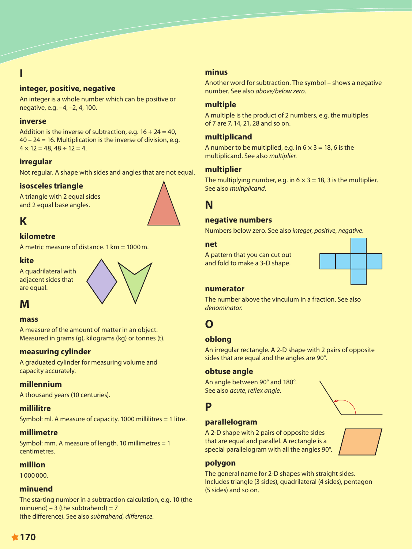## **I**

### **integer, positive, negative**

An integer is a whole number which can be positive or negative, e.g. –4, –2, 4, 100.

#### **inverse**

Addition is the inverse of subtraction, e.g.  $16 + 24 = 40$ , 40 – 24 = 16. Multiplication is the inverse of division, e.g.  $4 \times 12 = 48, 48 \div 12 = 4.$ 

#### **irregular**

Not regular. A shape with sides and angles that are not equal.

#### **isosceles triangle**

A triangle with 2 equal sides and 2 equal base angles.

## **K**

#### **kilometre**

A metric measure of distance.  $1 \text{ km} = 1000 \text{ m}$ .

#### **kite**

A quadrilateral with adjacent sides that are equal.



## **M**

#### **mass**

A measure of the amount of matter in an object. Measured in grams (g), kilograms (kg) or tonnes (t).

#### **measuring cylinder**

A graduated cylinder for measuring volume and capacity accurately.

#### **millennium**

A thousand years (10 centuries).

#### **millilitre**

Symbol: ml. A measure of capacity. 1000 millilitres = 1 litre.

#### **millimetre**

Symbol: mm. A measure of length. 10 millimetres = 1 centimetres.

#### **million**

1000000.

#### **minuend**

The starting number in a subtraction calculation, e.g. 10 (the minuend) – 3 (the subtrahend) =  $7$ (the difference). See also *subtrahend*, *difference*.

#### **minus**

Another word for subtraction. The symbol – shows a negative number. See also *above/below zero*.

#### **multiple**

A multiple is the product of 2 numbers, e.g. the multiples of 7 are 7, 14, 21, 28 and so on.

#### **multiplicand**

A number to be multiplied, e.g. in  $6 \times 3 = 18$ , 6 is the multiplicand. See also *multiplier*.

#### **multiplier**

The multiplying number, e.g. in  $6 \times 3 = 18$ , 3 is the multiplier. See also *multiplicand*.

## **N**

#### **negative numbers**

Numbers below zero. See also *integer*, *positive*, *negative*.

#### **net**

A pattern that you can cut out and fold to make a 3-D shape.



#### **numerator**

The number above the vinculum in a fraction. See also *denominator*.

## **O**

#### **oblong**

An irregular rectangle. A 2-D shape with 2 pairs of opposite sides that are equal and the angles are 90°.

#### **obtuse angle**

An angle between 90° and 180°. See also *acute*, *reflex angle*.

## **P**

#### **parallelogram**

A 2-D shape with 2 pairs of opposite sides that are equal and parallel. A rectangle is a special parallelogram with all the angles 90°.



#### **polygon**

The general name for 2-D shapes with straight sides. Includes triangle (3 sides), quadrilateral (4 sides), pentagon (5 sides) and so on.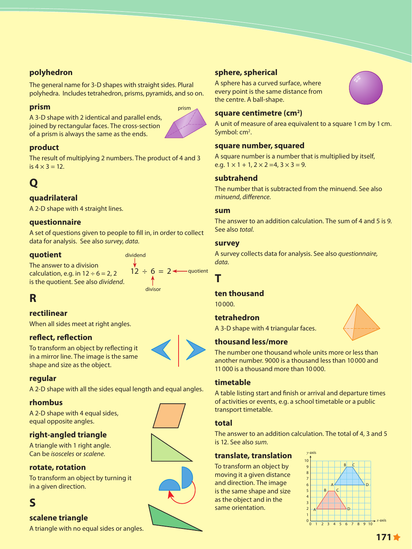## **polyhedron**

The general name for 3-D shapes with straight sides. Plural polyhedra. Includes tetrahedron, prisms, pyramids, and so on.<br>.

### **prism**

A 3-D shape with 2 identical and parallel ends, joined by rectangular faces. The cross-section of a prism is always the same as the ends.



## **product**

The result of multiplying 2 numbers. The product of 4 and 3 is  $4 \times 3 = 12$ .

# **Q**

## **quadrilateral**

A 2-D shape with 4 straight lines.

## **questionnaire**

A set of questions given to people to fill in, in order to collect data for analysis. See also *survey*, *data*.

dividend

### **quotient**

The answer to a division calculation, e.g. in  $12 \div 6 = 2, 2$ is the quotient. See also *dividend*.



## **R**

## **rectilinear**

When all sides meet at right angles.

## **reflect, reflection**

To transform an object by reflecting it in a mirror line. The image is the same shape and size as the object.

## **regular**

A 2-D shape with all the sides equal length and equal angles.

#### **rhombus**

A 2-D shape with 4 equal sides, equal opposite angles.

## **right-angled triangle**

A triangle with 1 right angle. Can be *isosceles* or *scalene*.

#### **rotate, rotation**

To transform an object by turning it in a given direction.

## **S**

## **scalene triangle**

A triangle with no equal sides or angles.

## **sphere, spherical**

rectangle pentagon hexagon heptagon octagon

A sphere has a curved surface, where every point is the same distance from the centre. A ball-shape.



## square centimetre (cm<sup>2</sup>)

A unit of measure of area equivalent to a square 1cm by 1cm. Symbol: cm<sup>2</sup>. circle right-angled right-angled right-angled right-angled right-angled right-angled right-angled right-angled<br>The contract right-angled right-angled right-angled right-angled right-angled right-angled right-angled right-

## square number, squared

A square number is a number that is multiplied by itself, e.g.  $1 \times 1 + 1$ ,  $2 \times 2 = 4$ ,  $3 \times 3 = 9$ .

### **subtrahend**

The number that is subtracted from the minuend. See also *minuend, difference.* 

#### **sum**

The answer to an addition calculation. The sum of 4 and 5 is 9. See also *total*.

#### **survey**

A survey collects data for analysis. See also *questionnaire, data*.

# **T**

## ten thousand

10000.

#### **tetrahedron**

A 3-D shape with 4 triangular faces.

## **thousand less/more**

The number one thousand whole units more or less than another number. 9000 is a thousand less than 10000 and 11000 is a thousand more than 10000.

## **timetable**

A table listing start and finish or arrival and departure times of activities or events, e.g. a school timetable or a public transport timetable.

#### **total**

The answer to an addition calculation. The total of 4, 3 and 5 is 12. See also *sum*.

## **translate, translation**

To transform an object by moving it a given distance and direction. The image is the same shape and size as the object and in the same orientation.